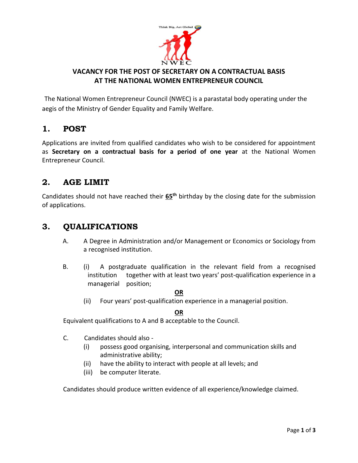

#### **VACANCY FOR THE POST OF SECRETARY ON A CONTRACTUAL BASIS AT THE NATIONAL WOMEN ENTREPRENEUR COUNCIL**

The National Women Entrepreneur Council (NWEC) is a parastatal body operating under the aegis of the Ministry of Gender Equality and Family Welfare.

# **1. POST**

Applications are invited from qualified candidates who wish to be considered for appointment as **Secretary on a contractual basis for a period of one year** at the National Women Entrepreneur Council.

# **2. AGE LIMIT**

Candidates should not have reached their **65th** birthday by the closing date for the submission of applications.

### **3. QUALIFICATIONS**

- A. A Degree in Administration and/or Management or Economics or Sociology from a recognised institution.
- B. (i) A postgraduate qualification in the relevant field from a recognised institution together with at least two years' post-qualification experience in a managerial position;

#### **OR**

(ii) Four years' post-qualification experience in a managerial position.

#### **OR**

Equivalent qualifications to A and B acceptable to the Council.

- C. Candidates should also
	- (i) possess good organising, interpersonal and communication skills and administrative ability;
	- (ii) have the ability to interact with people at all levels; and
	- (iii) be computer literate.

Candidates should produce written evidence of all experience/knowledge claimed.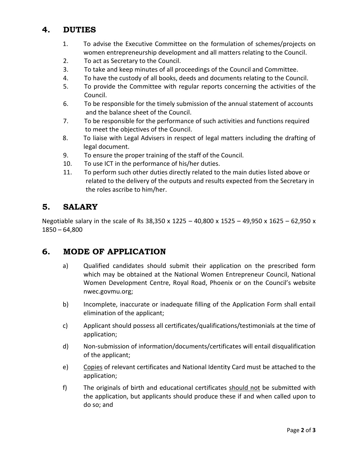# **4. DUTIES**

- 1. To advise the Executive Committee on the formulation of schemes/projects on women entrepreneurship development and all matters relating to the Council.
- 2. To act as Secretary to the Council.
- 3. To take and keep minutes of all proceedings of the Council and Committee.
- 4. To have the custody of all books, deeds and documents relating to the Council.
- 5. To provide the Committee with regular reports concerning the activities of the Council.
- 6. To be responsible for the timely submission of the annual statement of accounts and the balance sheet of the Council.
- 7. To be responsible for the performance of such activities and functions required to meet the objectives of the Council.
- 8. To liaise with Legal Advisers in respect of legal matters including the drafting of legal document.
- 9. To ensure the proper training of the staff of the Council.
- 10. To use ICT in the performance of his/her duties.
- 11. To perform such other duties directly related to the main duties listed above or related to the delivery of the outputs and results expected from the Secretary in the roles ascribe to him/her.

### **5. SALARY**

Negotiable salary in the scale of Rs 38,350 x 1225 – 40,800 x 1525 – 49,950 x 1625 – 62,950 x 1850 – 64,800

#### **6. MODE OF APPLICATION**

- a) Qualified candidates should submit their application on the prescribed form which may be obtained at the National Women Entrepreneur Council, National Women Development Centre, Royal Road, Phoenix or on the Council's website nwec.govmu.org;
- b) Incomplete, inaccurate or inadequate filling of the Application Form shall entail elimination of the applicant;
- c) Applicant should possess all certificates/qualifications/testimonials at the time of application;
- d) Non-submission of information/documents/certificates will entail disqualification of the applicant;
- e) Copies of relevant certificates and National Identity Card must be attached to the application;
- f) The originals of birth and educational certificates should not be submitted with the application, but applicants should produce these if and when called upon to do so; and